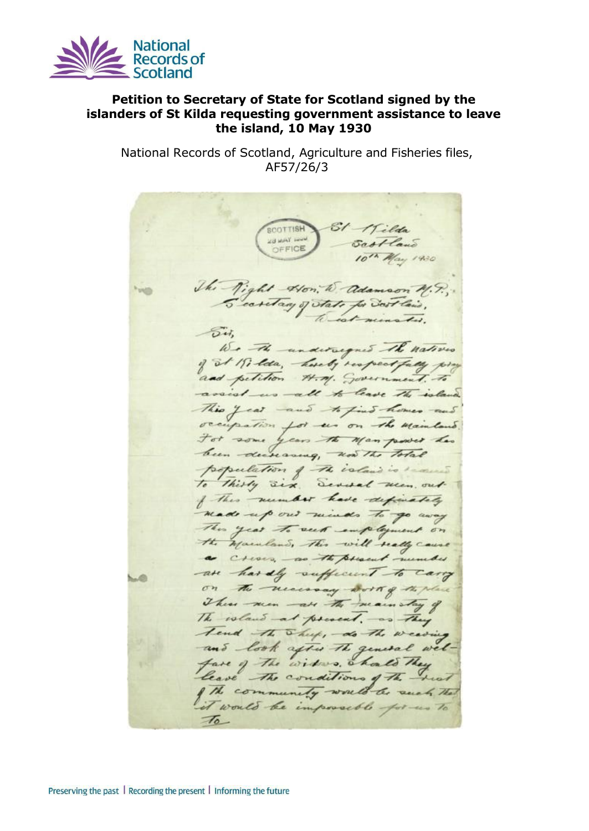

## **Petition to Secretary of State for Scotland signed by the islanders of St Kilda requesting government assistance to leave the island, 10 May 1930**

National Records of Scotland, Agriculture and Fisheries files, AF57/26/3

SI Wilda **SCOTTISH** Sastland **28 MAY 1004** OFFICE 10th May 1930 The Right Hon, to adamson M.P., Secretary of state for Sout lais, est ninster.  $\sim$ We The undersequed the natives of at 19, lda, hereby respectfully pro and petition H.M. Government. To assist us all to leave the island This year and to find homes an occupation for us on the Mainland For some years the Man power has been decreasing, now the Total population of the island is seased To thirty six, Several men, out of this number have definately made up out minds to go way This year to seek employment on the mainland, This will really cause a Cross, as the present number -are hardly sufficient to carry on the necessary work of the place There were not the main stay of The voland at present, as They Tend the Sheep, do the weaving and look after the general welfare of the widows, chall They leave The conditions of the heat The community would be such the it would be impossible for us to  $\tau$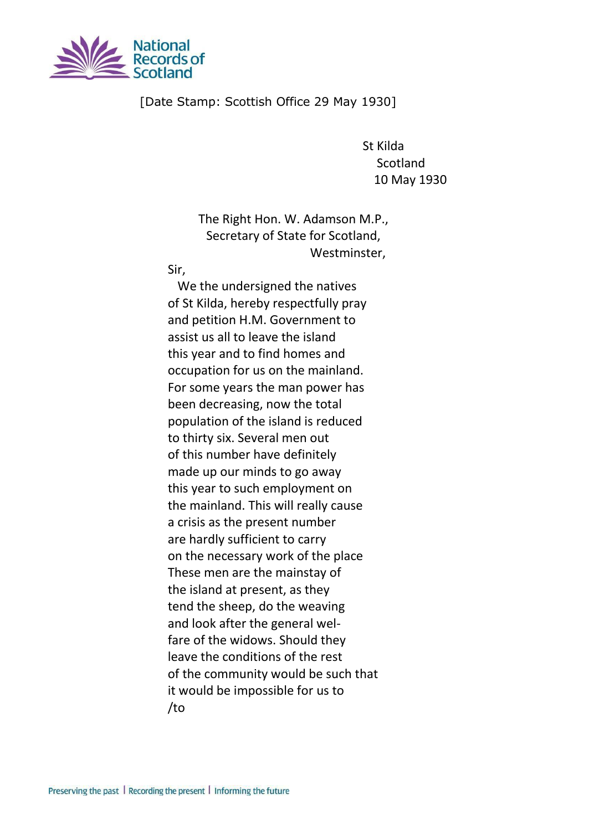

## [Date Stamp: Scottish Office 29 May 1930]

St Kilda **Scotland** 10 May 1930

The Right Hon. W. Adamson M.P., Secretary of State for Scotland, Westminster,

Sir,

We the undersigned the natives of St Kilda, hereby respectfully pray and petition H.M. Government to assist us all to leave the island this year and to find homes and occupation for us on the mainland. For some years the man power has been decreasing, now the total population of the island is reduced to thirty six. Several men out of this number have definitely made up our minds to go away this year to such employment on the mainland. This will really cause a crisis as the present number are hardly sufficient to carry on the necessary work of the place These men are the mainstay of the island at present, as they tend the sheep, do the weaving and look after the general welfare of the widows. Should they leave the conditions of the rest of the community would be such that it would be impossible for us to /to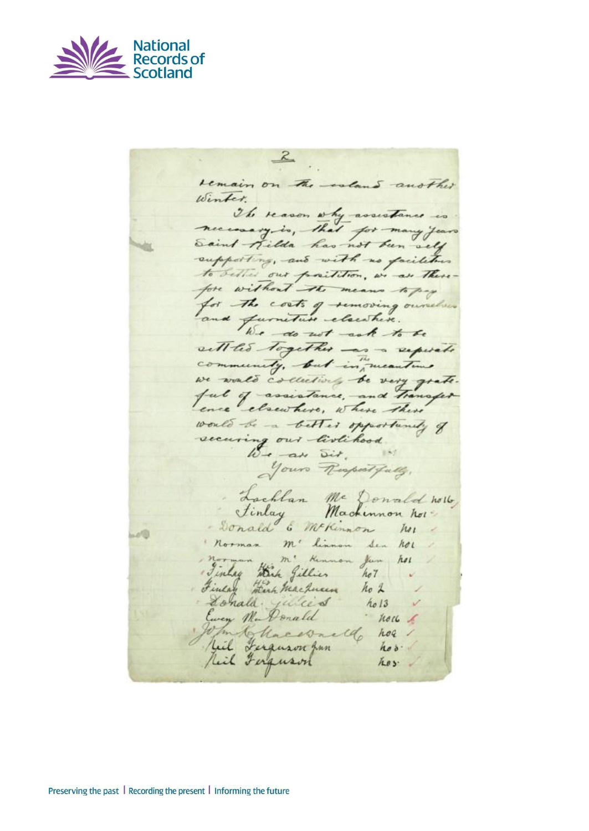

 $2$ remain on the coland another Winter. The reason why assistance is necessary is, that for many years Saint-Milda has not been sely supporting, and with us facilities to detter our partition, we are there fore without the means to pay for the costs of semoving ourselve and furniture elsewhere. sett les together - an a seperate we wald collectively be very grate. ful of assistance, and Transfer would be a better opportunity of securing our livlihood.  $10 - a$  Dit. Your Respectfully, Lachlan Me Donald not Finlay Machinnon hot - Donald & Mckinnon her norman m' linnon Sen hor Mortes Mi Kennon Jun 141 Finlay stark machines no 2 Lonald julied hold<br>Europ Ma Donald hold  $-$  holl  $\ell$ W/m Chacevalle hor fiel Ferguson fin hos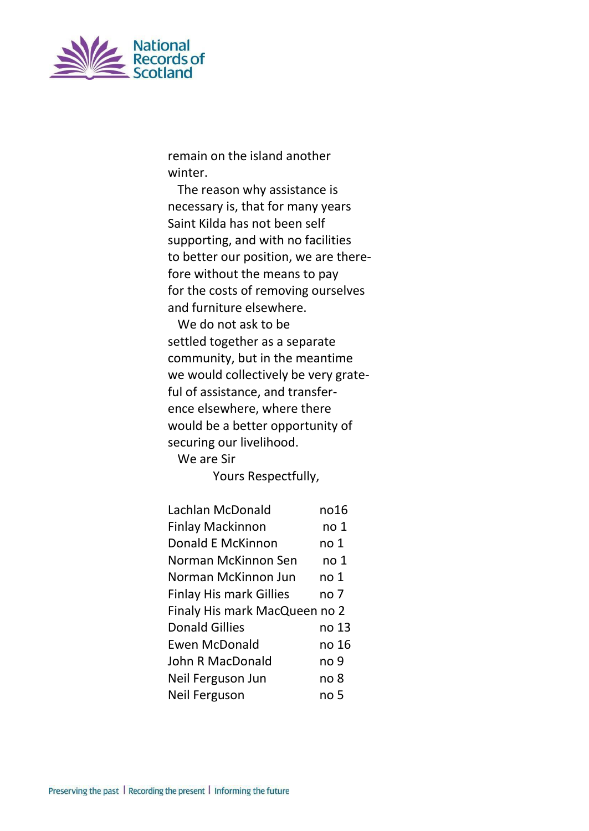

remain on the island another winter.

The reason why assistance is necessary is, that for many years Saint Kilda has not been self supporting, and with no facilities to better our position, we are therefore without the means to pay for the costs of removing ourselves and furniture elsewhere.

We do not ask to be settled together as a separate community, but in the meantime we would collectively be very grateful of assistance, and transference elsewhere, where there would be a better opportunity of securing our livelihood.

We are Sir

Yours Respectfully,

| Lachlan McDonald               | no16            |  |
|--------------------------------|-----------------|--|
| <b>Finlay Mackinnon</b>        | no 1            |  |
| Donald E McKinnon              | no <sub>1</sub> |  |
| Norman McKinnon Sen            | no 1            |  |
| Norman McKinnon Jun            | no <sub>1</sub> |  |
| <b>Finlay His mark Gillies</b> | no 7            |  |
| Finaly His mark MacQueen no 2  |                 |  |
| <b>Donald Gillies</b>          | no 13           |  |
| <b>Ewen McDonald</b>           | no 16           |  |
| John R MacDonald               | no 9            |  |
| Neil Ferguson Jun              | no 8            |  |
| Neil Ferguson                  | no 5            |  |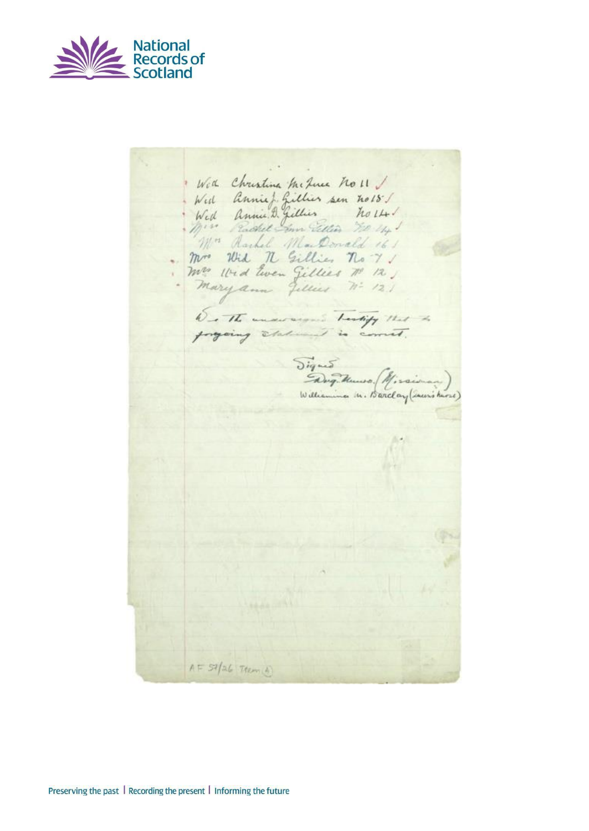

Were Christina McJuce no 11 / Wed Anniel Gillier sen no 18 !! Mrs Rachel MarDonald 161 mr Wid n Gillies no 7 / Mr Wid Ewen Gillies Nº 12) De The understand Testify that Signed Missioner)  $A = 57/26$  Them A)